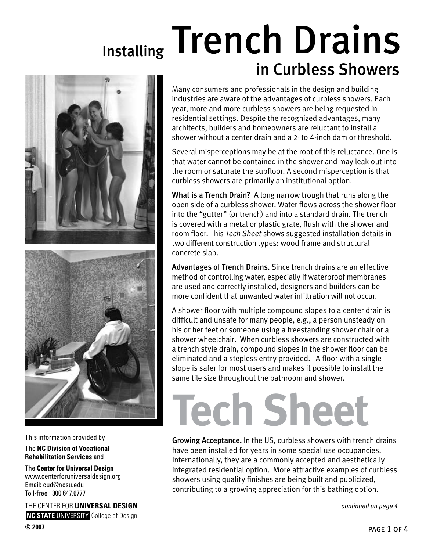## Installing Trench Drains in Curbless Showers



This information provided by

The **NC Division of Vocational Rehabilitation Services** and

The **Center for Universal Design**  www.centerforuniversaldesign.org Email: cud@ncsu.edu Toll-free : 800.647.6777

THE CENTER FOR **UNIVERSAL DESIGN NC STATE UNIVERSITY** College of Design Many consumers and professionals in the design and building industries are aware of the advantages of curbless showers. Each year, more and more curbless showers are being requested in residential settings. Despite the recognized advantages, many architects, builders and homeowners are reluctant to install a shower without a center drain and a 2- to 4-inch dam or threshold.

Several misperceptions may be at the root of this reluctance. One is that water cannot be contained in the shower and may leak out into the room or saturate the subfloor. A second misperception is that curbless showers are primarily an institutional option.

What is a Trench Drain? A long narrow trough that runs along the open side of a curbless shower. Water flows across the shower floor into the "gutter" (or trench) and into a standard drain. The trench is covered with a metal or plastic grate, flush with the shower and room floor. This *Tech Sheet* shows suggested installation details in two different construction types: wood frame and structural concrete slab.

Advantages of Trench Drains. Since trench drains are an effective method of controlling water, especially if waterproof membranes are used and correctly installed, designers and builders can be more confident that unwanted water infiltration will not occur.

A shower floor with multiple compound slopes to a center drain is difficult and unsafe for many people, e.g., a person unsteady on his or her feet or someone using a freestanding shower chair or a shower wheelchair. When curbless showers are constructed with a trench style drain, compound slopes in the shower floor can be eliminated and a stepless entry provided. A floor with a single slope is safer for most users and makes it possible to install the same tile size throughout the bathroom and shower.

## **Tech Sheet**

Growing Acceptance. In the US, curbless showers with trench drains have been installed for years in some special use occupancies. Internationally, they are a commonly accepted and aesthetically integrated residential option. More attractive examples of curbless showers using quality finishes are being built and publicized, contributing to a growing appreciation for this bathing option.

*continued on page 4*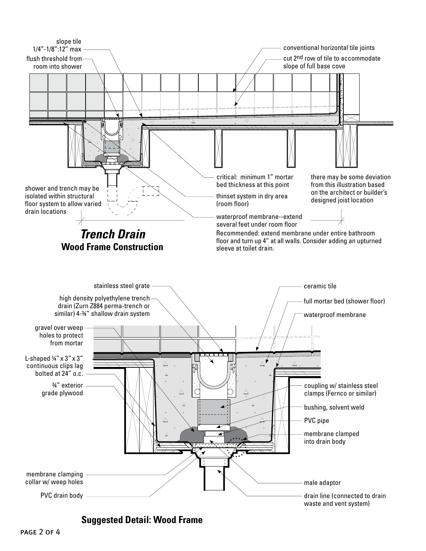

**Suggested Detail: Wood Frame**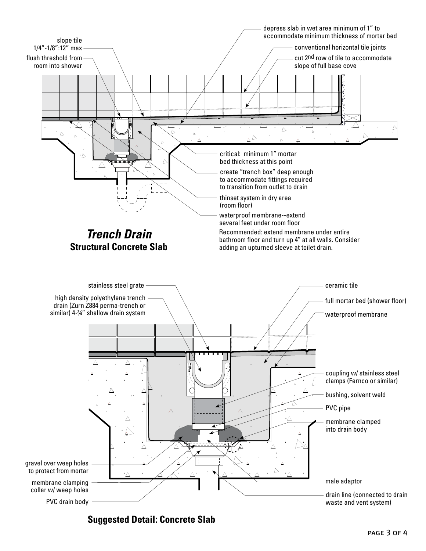

**Suggested Detail: Concrete Slab**